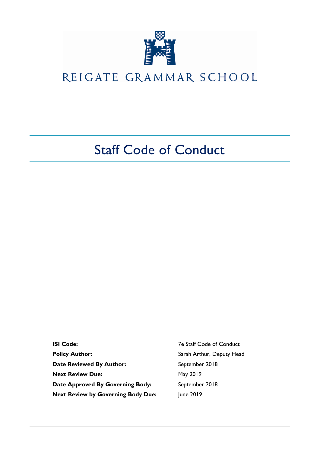

# REIGATE GRAMMAR SCHOOL

# Staff Code of Conduct

**ISI Code:** 7e Staff Code of Conduct **Policy Author:** Sarah Arthur, Deputy Head Date Reviewed By Author: September 2018 **Next Review Due:** May 2019 Date Approved By Governing Body: September 2018 **Next Review by Governing Body Due:** June 2019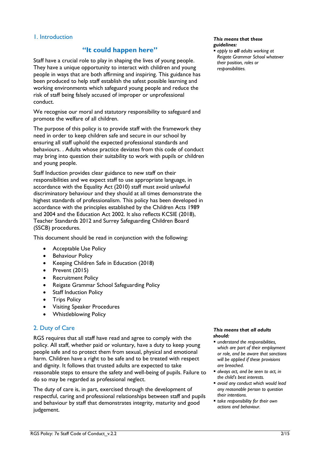## 1. Introduction

## **"It could happen here"**

Staff have a crucial role to play in shaping the lives of young people. They have a unique opportunity to interact with children and young people in ways that are both affirming and inspiring. This guidance has been produced to help staff establish the safest possible learning and working environments which safeguard young people and reduce the risk of staff being falsely accused of improper or unprofessional conduct.

We recognise our moral and statutory responsibility to safeguard and promote the welfare of all children.

The purpose of this policy is to provide staff with the framework they need in order to keep children safe and secure in our school by ensuring all staff uphold the expected professional standards and behaviours. . Adults whose practice deviates from this code of conduct may bring into question their suitability to work with pupils or children and young people.

Staff Induction provides clear guidance to new staff on their responsibilities and we expect staff to use appropriate language, in accordance with the Equality Act (2010) staff must avoid unlawful discriminatory behaviour and they should at all times demonstrate the highest standards of professionalism. This policy has been developed in accordance with the principles established by the Children Acts 1989 and 2004 and the Education Act 2002. It also reflects KCSIE (2018), Teacher Standards 2012 and Surrey Safeguarding Children Board (SSCB) procedures.

This document should be read in conjunction with the following:

- Acceptable Use Policy
- Behaviour Policy
- Keeping Children Safe in Education (2018)
- Prevent (2015)
- Recruitment Policy
- Reigate Grammar School Safeguarding Policy
- Staff Induction Policy
- Trips Policy
- Visiting Speaker Procedures
- Whistleblowing Policy

## 2. Duty of Care

RGS requires that all staff have read and agree to comply with the policy. All staff, whether paid or voluntary, have a duty to keep young people safe and to protect them from sexual, physical and emotional harm. Children have a right to be safe and to be treated with respect and dignity. It follows that trusted adults are expected to take reasonable steps to ensure the safety and well-being of pupils. Failure to do so may be regarded as professional neglect.

The duty of care is, in part, exercised through the development of respectful, caring and professional relationships between staff and pupils and behaviour by staff that demonstrates integrity, maturity and good judgement.

#### *This means that these guidelines:*

 *apply to all adults working at Reigate Grammar School whatever their position, roles or responsibilities.*

#### *This means that all adults should:*

- *understand the responsibilities, which are part of their employment or role, and be aware that sanctions will be applied if these provisions are breached.*
- *always act, and be seen to act, in the child's best interests.*
- *avoid any conduct which would lead any reasonable person to question their intentions.*
- *take responsibility for their own actions and behaviour.*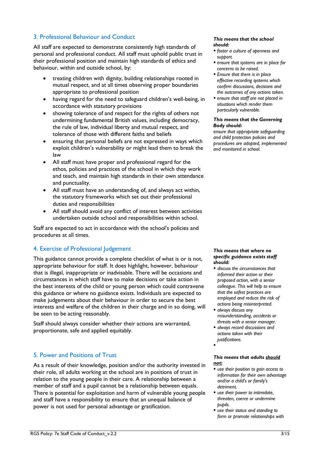## 3. Professional Behaviour and Conduct

All staff are expected to demonstrate consistently high standards of personal and professional conduct. All staff must uphold public trust in their professional position and maintain high standards of ethics and behaviour, within and outside school, by:

- treating children with dignity, building relationships rooted in mutual respect, and at all times observing proper boundaries appropriate to professional position
- having regard for the need to safeguard children's well-being, in accordance with statutory provisions
- showing tolerance of and respect for the rights of others not undermining fundamental British values, including democracy, the rule of law, individual liberty and mutual respect, and tolerance of those with different faiths and beliefs
- ensuring that personal beliefs are not expressed in ways which exploit children's vulnerability or might lead them to break the law
- All staff must have proper and professional regard for the ethos, policies and practices of the school in which they work and teach, and maintain high standards in their own attendance and punctuality.
- All staff must have an understanding of, and always act within, the statutory frameworks which set out their professional duties and responsibilities
- All staff should avoid any conflict of interest between activities undertaken outside school and responsibilities within school.

Staff are expected to act in accordance with the school's policies and procedures at all times.

## 4. Exercise of Professional Judgement

This guidance cannot provide a complete checklist of what is or is not, appropriate behaviour for staff. It does highlight, however, behaviour that is illegal, inappropriate or inadvisable. There will be occasions and circumstances in which staff have to make decisions or take action in the best interests of the child or young person which could contravene this guidance or where no guidance exists. Individuals are expected to make judgements about their behaviour in order to secure the best interests and welfare of the children in their charge and in so doing, will be seen to be acting reasonably.

Staff should always consider whether their actions are warranted, proportionate, safe and applied equitably.

## 5. Power and Positions of Trust

As a result of their knowledge, position and/or the authority invested in their role, all adults working at the school are in positions of trust in relation to the young people in their care. A relationship between a member of staff and a pupil cannot be a relationship between equals. There is potential for exploitation and harm of vulnerable young people and staff have a responsibility to ensure that an unequal balance of power is not used for personal advantage or gratification.

#### *This means that the school should:*

- *foster a culture of openness and support.*
- *ensure that systems are in place for concerns to be raised.*
- *Ensure that there is in place effective recording systems which confirm discussions, decisions and the outcomes of any actions taken.*
- *ensure that staff are not placed in situations which render them particularly vulnerable.*

#### *This means that the Governing Body should:*

*ensure that appropriate safeguarding and child protection policies and procedures are adopted, implemented and monitored in school.*

#### *This means that where no specific guidance exists staff should:*

- *discuss the circumstances that informed their action or their proposed action, with a senior colleague. This will help to ensure that the safest practices are employed and reduce the risk of actions being misinterpreted.*
- *always discuss any misunderstanding, accidents or threats with a senior manager.*
- *always record discussions and actions taken with their justifications.*
- .

#### *This means that adults should not:*

- *use their position to gain access to information for their own advantage and/or a child's or family's detriment.*
- *use their power to intimidate, threaten, coerce or undermine pupils.*
- *use their status and standing to form or promote relationships with*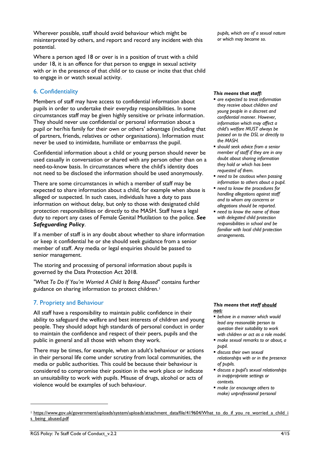Wherever possible, staff should avoid behaviour which might be misinterpreted by others, and report and record any incident with this potential.

Where a person aged 18 or over is in a position of trust with a child under 18, it is an offence for that person to engage in sexual activity with or in the presence of that child or to cause or incite that that child to engage in or watch sexual activity.

# 6. Confidentiality

Members of staff may have access to confidential information about pupils in order to undertake their everyday responsibilities. In some circumstances staff may be given highly sensitive or private information. They should never use confidential or personal information about a pupil or her/his family for their own or others' advantage (including that of partners, friends, relatives or other organisations). Information must never be used to intimidate, humiliate or embarrass the pupil.

Confidential information about a child or young person should never be used casually in conversation or shared with any person other than on a need-to-know basis. In circumstances where the child's identity does not need to be disclosed the information should be used anonymously.

There are some circumstances in which a member of staff may be expected to share information about a child, for example when abuse is alleged or suspected. In such cases, individuals have a duty to pass information on without delay, but only to those with designated child protection responsibilities or directly to the MASH. Staff have a legal duty to report any cases of Female Genital Mutilation to the police. *See Safeguarding Policy*.

If a member of staff is in any doubt about whether to share information or keep it confidential he or she should seek guidance from a senior member of staff. Any media or legal enquiries should be passed to senior management.

The storing and processing of personal information about pupils is governed by the Data Protection Act 2018.

*"What To Do If You're Worried A Child Is Being Abused"* contains further guidance on sharing information to protect children.<sup>1</sup>

# 7. Propriety and Behaviour

All staff have a responsibility to maintain public confidence in their ability to safeguard the welfare and best interests of children and young people. They should adopt high standards of personal conduct in order to maintain the confidence and respect of their peers, pupils and the public in general and all those with whom they work.

There may be times, for example, when an adult's behaviour or actions in their personal life come under scrutiny from local communities, the media or public authorities. This could be because their behaviour is considered to compromise their position in the work place or indicate an unsuitability to work with pupils. Misuse of drugs, alcohol or acts of violence would be examples of such behaviour.

*pupils, which are of a sexual nature or which may become so.*

## *This means that staff:*

- *are expected to treat information they receive about children and young people in a discreet and confidential manner. However, information which may affect a child's welfare MUST always be passed on to the DSL or directly to the MASH.*
- *should seek advice from a senior member of staff if they are in any doubt about sharing information they hold or which has been requested of them.*
- *need to be cautious when passing information to others about a pupil.*
- *need to know the procedures for handling allegations against staff and to whom any concerns or allegations should be reported.*
- *need to know the name of those with delegated child protection responsibilities in school and be familiar with local child protection arrangements.*

## *This means that staff should not:*

- *behave in a manner which would lead any reasonable person to question their suitability to work with children or act as a role model.*
- *make sexual remarks to or about, a pupil.*
- *discuss their own sexual relationships with or in the presence of pupils.*
- *discuss a pupil's sexual relationships in inappropriate settings or contexts.*
- *make (or encourage others to make) unprofessional personal*

-

<sup>1</sup> [https://www.gov.uk/government/uploads/system/uploads/attachment\\_data/file/419604/What\\_to\\_do\\_if\\_you\\_re\\_worried\\_a\\_child\\_i](https://www.gov.uk/government/uploads/system/uploads/attachment_data/file/419604/What_to_do_if_you_re_worried_a_child_is_being_abused.pdf) [s\\_being\\_abused.pdf](https://www.gov.uk/government/uploads/system/uploads/attachment_data/file/419604/What_to_do_if_you_re_worried_a_child_is_being_abused.pdf)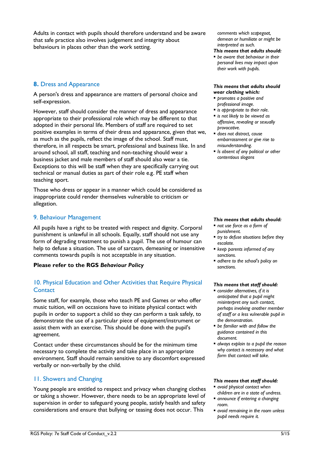Adults in contact with pupils should therefore understand and be aware that safe practice also involves judgement and integrity about behaviours in places other than the work setting.

## **8.** Dress and Appearance

A person's dress and appearance are matters of personal choice and self-expression.

However, staff should consider the manner of dress and appearance appropriate to their professional role which may be different to that adopted in their personal life. Members of staff are required to set positive examples in terms of their dress and appearance, given that we, as much as the pupils, reflect the image of the school. Staff must, therefore, in all respects be smart, professional and business like. In and around school, all staff, teaching and non-teaching should wear a business jacket and male members of staff should also wear a tie. Exceptions to this will be staff when they are specifically carrying out technical or manual duties as part of their role e.g. PE staff when teaching sport.

Those who dress or appear in a manner which could be considered as inappropriate could render themselves vulnerable to criticism or allegation.

## 9. Behaviour Management

All pupils have a right to be treated with respect and dignity. Corporal punishment is unlawful in all schools. Equally, staff should not use any form of degrading treatment to punish a pupil. The use of humour can help to defuse a situation. The use of sarcasm, demeaning or insensitive comments towards pupils is not acceptable in any situation.

## **Please refer to the RGS** *Behaviour Policy*

# 10. Physical Education and Other Activities that Require Physical **Contact**

Some staff, for example, those who teach PE and Games or who offer music tuition, will on occasions have to initiate physical contact with pupils in order to support a child so they can perform a task safely, to demonstrate the use of a particular piece of equipment/instrument or assist them with an exercise. This should be done with the pupil's agreement.

Contact under these circumstances should be for the minimum time necessary to complete the activity and take place in an appropriate environment. Staff should remain sensitive to any discomfort expressed verbally or non-verbally by the child.

# 11. Showers and Changing

Young people are entitled to respect and privacy when changing clothes or taking a shower. However, there needs to be an appropriate level of supervision in order to safeguard young people, satisfy health and safety considerations and ensure that bullying or teasing does not occur. This

*comments which scapegoat, demean or humiliate or might be interpreted as such.*

### *This means that adults should:*

 *be aware that behaviour in their personal lives may impact upon their work with pupils.*

#### *This means that adults should wear clothing which:*

- *promotes a positive and professional image.*
- *is appropriate to their role.*
- *is not likely to be viewed as offensive, revealing or sexually provocative.*
- *does not distract, cause embarrassment or give rise to misunderstanding.*
- *Is absent of any political or other contentious slogans*

## *This means that adults should:*

- *not use force as a form of punishment.*
- *try to defuse situations before they escalate.*
- *keep parents informed of any sanctions.*
- *adhere to the school's policy on sanctions.*

#### *This means that staff should:*

- *consider alternatives, if it is anticipated that a pupil might misinterpret any such contact, perhaps involving another member of staff or a less vulnerable pupil in the demonstration.*
- *be familiar with and follow the guidance contained in this document.*
- *always explain to a pupil the reason why contact is necessary and what form that contact will take.*

- *avoid physical contact when children are in a state of undress.*
- *announce if entering a changing room.*
- *avoid remaining in the room unless pupil needs require it.*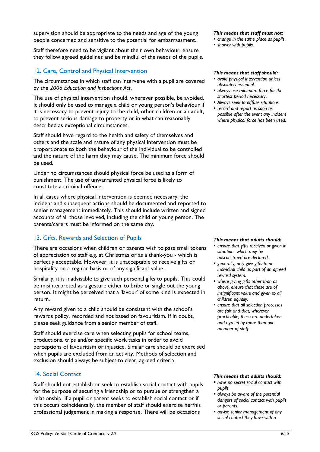supervision should be appropriate to the needs and age of the young people concerned and sensitive to the potential for embarrassment.

Staff therefore need to be vigilant about their own behaviour, ensure they follow agreed guidelines and be mindful of the needs of the pupils.

# 12. Care, Control and Physical Intervention

The circumstances in which staff can intervene with a pupil are covered by the *2006 Education and Inspections Act*.

The use of physical intervention should, wherever possible, be avoided. It should only be used to manage a child or young person's behaviour if it is necessary to prevent injury to the child, other children or an adult, to prevent serious damage to property or in what can reasonably described as exceptional circumstances.

Staff should have regard to the health and safety of themselves and others and the scale and nature of any physical intervention must be proportionate to both the behaviour of the individual to be controlled and the nature of the harm they may cause. The minimum force should be used.

Under no circumstances should physical force be used as a form of punishment. The use of unwarranted physical force is likely to constitute a criminal offence.

In all cases where physical intervention is deemed necessary, the incident and subsequent actions should be documented and reported to senior management immediately. This should include written and signed accounts of all those involved, including the child or young person. The parents/carers must be informed on the same day.

# 13. Gifts, Rewards and Selection of Pupils

There are occasions when children or parents wish to pass small tokens of appreciation to staff e.g. at Christmas or as a thank-you - which is perfectly acceptable. However, it is unacceptable to receive gifts or hospitality on a regular basis or of any significant value.

Similarly, it is inadvisable to give such personal gifts to pupils. This could be misinterpreted as a gesture either to bribe or single out the young person. It might be perceived that a 'favour' of some kind is expected in return.

Any reward given to a child should be consistent with the school's rewards policy, recorded and not based on favouritism. If in doubt, please seek guidance from a senior member of staff.

Staff should exercise care when selecting pupils for school teams, productions, trips and/or specific work tasks in order to avoid perceptions of favouritism or injustice. Similar care should be exercised when pupils are excluded from an activity. Methods of selection and exclusion should always be subject to clear, agreed criteria.

## 14. Social Contact

Staff should not establish or seek to establish social contact with pupils for the purpose of securing a friendship or to pursue or strengthen a relationship. If a pupil or parent seeks to establish social contact or if this occurs coincidentally, the member of staff should exercise her/his professional judgement in making a response. There will be occasions

## *This means that staff must not:*

- *change in the same place as pupils.*
- *shower with pupils.*

## *This means that staff should:*

- *avoid physical intervention unless absolutely essential.*
- *always use minimum force for the shortest period necessary*.
- *Always seek to diffuse situations*
- *record and report as soon as possible after the event any incident where physical force has been used.*

#### *This means that adults should:*

- *ensure that gifts received or given in situations which may be misconstrued are declared.*
- *generally, only give gifts to an individual child as part of an agreed reward system.*
- *where giving gifts other than as above, ensure that these are of insignificant value and given to all children equally.*
- *ensure that all selection processes are fair and that, wherever practicable, these are undertaken and agreed by more than one member of staff.*

#### *This means that adults should:*

- *have no secret social contact with pupils.*
- *always be aware of the potential dangers of social contact with pupils or parents.*
- *advise senior management of any social contact they have with a*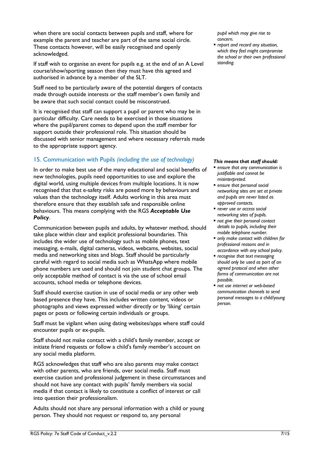when there are social contacts between pupils and staff, where for example the parent and teacher are part of the same social circle. These contacts however, will be easily recognised and openly acknowledged.

If staff wish to organise an event for pupils e.g. at the end of an A Level course/show/sporting season then they must have this agreed and authorised in advance by a member of the SLT.

Staff need to be particularly aware of the potential dangers of contacts made through outside interests or the staff member's own family and be aware that such social contact could be misconstrued.

It is recognised that staff can support a pupil or parent who may be in particular difficulty. Care needs to be exercised in those situations where the pupil/parent comes to depend upon the staff member for support outside their professional role. This situation should be discussed with senior management and where necessary referrals made to the appropriate support agency.

# 15. Communication with Pupils *(including the use of technology)*

In order to make best use of the many educational and social benefits of new technologies, pupils need opportunities to use and explore the digital world, using multiple devices from multiple locations. It is now recognised that that e-safety risks are posed more by behaviours and values than the technology itself. Adults working in this area must therefore ensure that they establish safe and responsible online behaviours. This means complying with the RGS *Acceptable Use Policy*.

Communication between pupils and adults, by whatever method, should take place within clear and explicit professional boundaries. This includes the wider use of technology such as mobile phones, text messaging, e-mails, digital cameras, videos, webcams, websites, social media and networking sites and blogs. Staff should be particularly careful with regard to social media such as WhatsApp where mobile phone numbers are used and should not join student chat groups. The only acceptable method of contact is via the use of school email accounts, school media or telephone devices.

Staff should exercise caution in use of social media or any other web based presence they have. This includes written content, videos or photographs and views expressed wither directly or by 'liking' certain pages or posts or following certain individuals or groups.

Staff must be vigilant when using dating websites/apps where staff could encounter pupils or ex-pupils.

Staff should not make contact with a child's family member, accept or initiate friend requests or follow a child's family member's account on any social media platform.

RGS acknowledges that staff who are also parents may make contact with other parents, who are friends, over social media. Staff must exercise caution and professional judgement in these circumstances and should not have any contact with pupils' family members via social media if that contact is likely to constitute a conflict of interest or call into question their professionalism.

Adults should not share any personal information with a child or young person. They should not request or respond to, any personal

*pupil which may give rise to concern.*

 *report and record any situation, which they feel might compromise the school or their own professional standing.*

- *ensure that any communication is justifiable and cannot be misinterpreted.*
- *ensure that personal social networking sites are set at private and pupils are never listed as approved contacts.*
- *never use or access social networking sites of pupils.*
- *not give their personal contact details to pupils, including their mobile telephone number.*
- *only make contact with children for professional reasons and in accordance with any school policy.*
- *recognise that text messaging should only be used as part of an agreed protocol and when other forms of communication are not possible.*
- *not use internet or web-based communication channels to send personal messages to a child/young person.*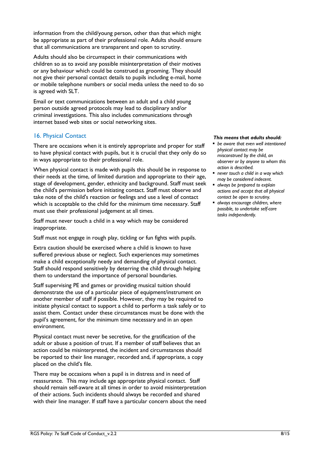information from the child/young person, other than that which might be appropriate as part of their professional role. Adults should ensure that all communications are transparent and open to scrutiny.

Adults should also be circumspect in their communications with children so as to avoid any possible misinterpretation of their motives or any behaviour which could be construed as grooming. They should not give their personal contact details to pupils including e-mail, home or mobile telephone numbers or social media unless the need to do so is agreed with SLT.

Email or text communications between an adult and a child young person outside agreed protocols may lead to disciplinary and/or criminal investigations. This also includes communications through internet based web sites or social networking sites.

# 16. Physical Contact

There are occasions when it is entirely appropriate and proper for staff to have physical contact with pupils, but it is crucial that they only do so in ways appropriate to their professional role.

When physical contact is made with pupils this should be in response to their needs at the time, of limited duration and appropriate to their age, stage of development, gender, ethnicity and background. Staff must seek the child's permission before initiating contact. Staff must observe and take note of the child's reaction or feelings and use a level of contact which is acceptable to the child for the minimum time necessary. Staff must use their professional judgement at all times.

Staff must never touch a child in a way which may be considered inappropriate.

Staff must not engage in rough play, tickling or fun fights with pupils.

Extra caution should be exercised where a child is known to have suffered previous abuse or neglect. Such experiences may sometimes make a child exceptionally needy and demanding of physical contact. Staff should respond sensitively by deterring the child through helping them to understand the importance of personal boundaries.

Staff supervising PE and games or providing musical tuition should demonstrate the use of a particular piece of equipment/instrument on another member of staff if possible. However, they may be required to initiate physical contact to support a child to perform a task safely or to assist them. Contact under these circumstances must be done with the pupil's agreement, for the minimum time necessary and in an open environment.

Physical contact must never be secretive, for the gratification of the adult or abuse a position of trust. If a member of staff believes that an action could be misinterpreted, the incident and circumstances should be reported to their line manager, recorded and, if appropriate, a copy placed on the child's file.

There may be occasions when a pupil is in distress and in need of reassurance. This may include age appropriate physical contact. Staff should remain self-aware at all times in order to avoid misinterpretation of their actions. Such incidents should always be recorded and shared with their line manager. If staff have a particular concern about the need

## *This means that adults should:*

- *be aware that even well intentioned physical contact may be misconstrued by the child, an observer or by anyone to whom this action is described.*
- *never touch a child in a way which may be considered indecent.*
- *always be prepared to explain actions and accept that all physical contact be open to scrutiny.*
- *always encourage children, where possible, to undertake self-care tasks independently.*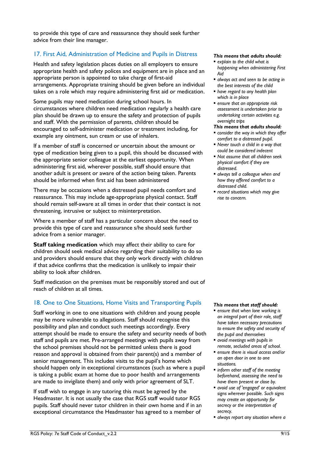to provide this type of care and reassurance they should seek further advice from their line manager.

# 17. First Aid, Administration of Medicine and Pupils in Distress

Health and safety legislation places duties on all employers to ensure appropriate health and safety polices and equipment are in place and an appropriate person is appointed to take charge of first-aid arrangements. Appropriate training should be given before an individual takes on a role which may require administering first aid or medication.

Some pupils may need medication during school hours. In circumstances where children need medication regularly a health care plan should be drawn up to ensure the safety and protection of pupils and staff. With the permission of parents, children should be encouraged to self-administer medication or treatment including, for example any ointment, sun cream or use of inhalers.

If a member of staff is concerned or uncertain about the amount or type of medication being given to a pupil, this should be discussed with the appropriate senior colleague at the earliest opportunity. When administering first aid, wherever possible, staff should ensure that another adult is present or aware of the action being taken. Parents should be informed when first aid has been administered

There may be occasions when a distressed pupil needs comfort and reassurance. This may include age-appropriate physical contact. Staff should remain self-aware at all times in order that their contact is not threatening, intrusive or subject to misinterpretation.

Where a member of staff has a particular concern about the need to provide this type of care and reassurance s/he should seek further advice from a senior manager.

**Staff taking medication** which may affect their ability to care for children should seek medical advice regarding their suitability to do so and providers should ensure that they only work directly with children if that advice confirms that the medication is unlikely to impair their ability to look after children.

Staff medication on the premises must be responsibly stored and out of reach of children at all times.

# 18. One to One Situations, Home Visits and Transporting Pupils

Staff working in one to one situations with children and young people may be more vulnerable to allegations. Staff should recognise this possibility and plan and conduct such meetings accordingly. Every attempt should be made to ensure the safety and security needs of both staff and pupils are met. Pre-arranged meetings with pupils away from the school premises should not be permitted unless there is good reason and approval is obtained from their parent(s) and a member of senior management. This includes visits to the pupil's home which should happen only in exceptional circumstances (such as where a pupil is taking a public exam at home due to poor health and arrangements are made to invigilate them) and only with prior agreement of SLT.

If staff wish to engage in any tutoring this must be agreed by the Headmaster. It is not usually the case that RGS staff would tutor RGS pupils. Staff should never tutor children in their own home and if in an exceptional circumstance the Headmaster has agreed to a member of

#### *This means that adults should:*

- *explain to the child what is happening when administering First Aid*
- *always act and seen to be acting in the best interests of the child*
- *have regard to any health plan which is in place*
- *ensure that an appropriate risk assessment is undertaken prior to undertaking certain activities e.g. overnight trips*

### *This means that adults should:*

- *consider the way in which they offer comfort to a distressed pupil.*
- *Never touch a child in a way that could be considered indecent*
- *Not assume that all children seek physical comfort if they are distressed.*
- *always tell a colleague when and how they offered comfort to a distressed child.*
- *record situations which may give rise to concern.*

- *ensure that when lone working is an integral part of their role, staff have taken necessary precautions to ensure the safety and security of the pupil and themselves*
- *avoid meetings with pupils in remote, secluded areas of school.*
- *ensure there is visual access and/or an open door in one to one situations.*
- *inform other staff of the meeting beforehand, assessing the need to have them present or close by.*
- *avoid use of 'engaged' or equivalent signs wherever possible. Such signs may create an opportunity for secrecy or the interpretation of secrecy.*
- *always report any situation where a*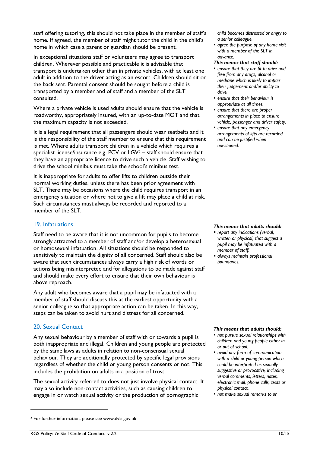staff offering tutoring, this should not take place in the member of staff's home. If agreed, the member of staff might tutor the child in the child's home in which case a parent or guardian should be present.

In exceptional situations staff or volunteers may agree to transport children. Wherever possible and practicable it is advisable that transport is undertaken other than in private vehicles, with at least one adult in addition to the driver acting as an escort. Children should sit on the back seat. Parental consent should be sought before a child is transported by a member and of staff and a member of the SLT consulted.

Where a private vehicle is used adults should ensure that the vehicle is roadworthy, appropriately insured, with an up-to-date MOT and that the maximum capacity is not exceeded.

It is a legal requirement that all passengers should wear seatbelts and it is the responsibility of the staff member to ensure that this requirement is met. Where adults transport children in a vehicle which requires a specialist license/insurance e.g. PCV or  $LGV^2$  – staff should ensure that they have an appropriate licence to drive such a vehicle. Staff wishing to drive the school minibus must take the school's minibus test.

It is inappropriate for adults to offer lifts to children outside their normal working duties, unless there has been prior agreement with SLT. There may be occasions where the child requires transport in an emergency situation or where not to give a lift may place a child at risk. Such circumstances must always be recorded and reported to a member of the SLT.

## 19. Infatuations

Staff need to be aware that it is not uncommon for pupils to become strongly attracted to a member of staff and/or develop a heterosexual or homosexual infatuation. All situations should be responded to sensitively to maintain the dignity of all concerned. Staff should also be aware that such circumstances always carry a high risk of words or actions being misinterpreted and for allegations to be made against staff and should make every effort to ensure that their own behaviour is above reproach.

Any adult who becomes aware that a pupil may be infatuated with a member of staff should discuss this at the earliest opportunity with a senior colleague so that appropriate action can be taken. In this way, steps can be taken to avoid hurt and distress for all concerned.

## 20. Sexual Contact

-

Any sexual behaviour by a member of staff with or towards a pupil is both inappropriate and illegal. Children and young people are protected by the same laws as adults in relation to non-consensual sexual behaviour. They are additionally protected by specific legal provisions regardless of whether the child or young person consents or not. This includes the prohibition on adults in a position of trust.

The sexual activity referred to does not just involve physical contact. It may also include non-contact activities, such as causing children to engage in or watch sexual activity or the production of pornographic

*child becomes distressed or angry to a senior colleague.*

 *agree the purpose of any home visit with a member of the SLT in advance.*

#### *This means that staff should:*

- *ensure that they are fit to drive and free from any drugs, alcohol or medicine which is likely to impair their judgement and/or ability to drive.*
- *ensure that their behaviour is appropriate at all times.*
- *ensure that there are proper arrangements in place to ensure vehicle, passenger and driver safety.*
- *ensure that any emergency arrangements of lifts are recorded and can be justified when questioned.*

## *This means that adults should:*

- *report any indications (verbal, written or physical) that suggest a pupil may be infatuated with a member of staff.*
- *always maintain professional boundaries.*

#### *This means that adults should:*

- *not pursue sexual relationships with children and young people either in or out of school.*
- *avoid any form of communication with a child or young person which could be interpreted as sexually suggestive or provocative, including verbal comments, letters, notes, electronic mail, phone calls, texts or physical contact.*
- *not make sexual remarks to or*

<sup>2</sup> For further information, please see www.dvla.gov.uk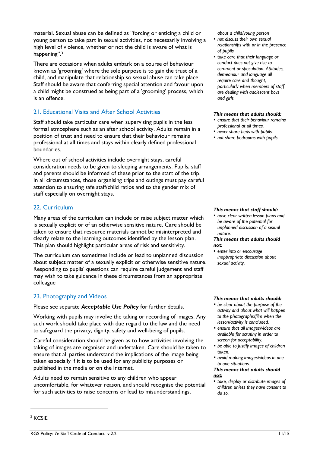material. Sexual abuse can be defined as "forcing or enticing a child or young person to take part in sexual activities, not necessarily involving a high level of violence, whether or not the child is aware of what is happening".<sup>3</sup>

There are occasions when adults embark on a course of behaviour known as 'grooming' where the sole purpose is to gain the trust of a child, and manipulate that relationship so sexual abuse can take place. Staff should be aware that conferring special attention and favour upon a child might be construed as being part of a 'grooming' process, which is an offence.

# 21. Educational Visits and After School Activities

Staff should take particular care when supervising pupils in the less formal atmosphere such as an after school activity. Adults remain in a position of trust and need to ensure that their behaviour remains professional at all times and stays within clearly defined professional boundaries.

Where out of school activities include overnight stays, careful consideration needs to be given to sleeping arrangements. Pupils, staff and parents should be informed of these prior to the start of the trip. In all circumstances, those organising trips and outings must pay careful attention to ensuring safe staff/child ratios and to the gender mix of staff especially on overnight stays.

## 22. Curriculum

Many areas of the curriculum can include or raise subject matter which is sexually explicit or of an otherwise sensitive nature. Care should be taken to ensure that resource materials cannot be misinterpreted and clearly relate to the learning outcomes identified by the lesson plan. This plan should highlight particular areas of risk and sensitivity.

The curriculum can sometimes include or lead to unplanned discussion about subject matter of a sexually explicit or otherwise sensitive nature. Responding to pupils' questions can require careful judgement and staff may wish to take guidance in these circumstances from an appropriate colleague

## 23. Photography and Videos

Please see separate *Acceptable Use Policy* for further details.

Working with pupils may involve the taking or recording of images. Any such work should take place with due regard to the law and the need to safeguard the privacy, dignity, safety and well-being of pupils.

Careful consideration should be given as to how activities involving the taking of images are organised and undertaken. Care should be taken to ensure that all parties understand the implications of the image being taken especially if it is to be used for any publicity purposes or published in the media or on the Internet.

Adults need to remain sensitive to any children who appear uncomfortable, for whatever reason, and should recognise the potential for such activities to raise concerns or lead to misunderstandings.

*about a child/young person*

- *not discuss their own sexual relationships with or in the presence of pupils*
- *take care that their language or conduct does not give rise to comment or speculation. Attitudes, demeanour and language all require care and thought, particularly when members of staff are dealing with adolescent boys and girls.*

#### *This means that adults should:*

- *ensure that their behaviour remains professional at all times.*
- *never share beds with pupils.*
- *not share bedrooms with pupils.*

#### *This means that staff should:*

 *have clear written lesson plans and be aware of the potential for unplanned discussion of a sexual nature.*

#### *This means that adults should not:*

 *enter into or encourage inappropriate discussion about sexual activity.*

#### *This means that adults should:*

- *be clear about the purpose of the activity and about what will happen to the photographs/film when the lesson/activity is concluded.*
- *ensure that all images/videos are available for scrutiny in order to screen for acceptability.*
- *be able to justify images of children taken.*
- *avoid making images/videos in one to one situations.*

#### *This means that adults should not:*

 *take, display or distribute images of children unless they have consent to do so.*

-

<sup>&</sup>lt;sup>3</sup> KCSIF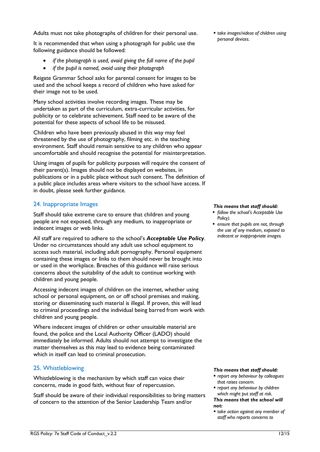Adults must not take photographs of children for their personal use.

It is recommended that when using a photograph for public use the following guidance should be followed:

- *if the photograph is used, avoid giving the full name of the pupil*
- *if the pupil is named, avoid using their photograph*

Reigate Grammar School asks for parental consent for images to be used and the school keeps a record of children who have asked for their image not to be used.

Many school activities involve recording images. These may be undertaken as part of the curriculum, extra-curricular activities, for publicity or to celebrate achievement. Staff need to be aware of the potential for these aspects of school life to be misused.

Children who have been previously abused in this way may feel threatened by the use of photography, filming etc. in the teaching environment. Staff should remain sensitive to any children who appear uncomfortable and should recognise the potential for misinterpretation.

Using images of pupils for publicity purposes will require the consent of their parent(s). Images should not be displayed on websites, in publications or in a public place without such consent. The definition of a public place includes areas where visitors to the school have access. If in doubt, please seek further guidance.

## 24. Inappropriate Images

Staff should take extreme care to ensure that children and young people are not exposed, through any medium, to inappropriate or indecent images or web links.

All staff are required to adhere to the school's *Acceptable Use Policy*. Under no circumstances should any adult use school equipment to access such material, including adult pornography. Personal equipment containing these images or links to them should never be brought into or used in the workplace. Breaches of this guidance will raise serious concerns about the suitability of the adult to continue working with children and young people.

Accessing indecent images of children on the internet, whether using school or personal equipment, on or off school premises and making, storing or disseminating such material is illegal. If proven, this will lead to criminal proceedings and the individual being barred from work with children and young people.

Where indecent images of children or other unsuitable material are found, the police and the Local Authority Officer (LADO) should immediately be informed. Adults should not attempt to investigate the matter themselves as this may lead to evidence being contaminated which in itself can lead to criminal prosecution.

## 25. Whistleblowing

Whistleblowing is the mechanism by which staff can voice their concerns, made in good faith, without fear of repercussion.

Staff should be aware of their individual responsibilities to bring matters of concern to the attention of the Senior Leadership Team and/or

 *take images/videos of children using personal devices.*

#### *This means that staff should:*

- *follow the school's Acceptable Use Policy).*
- *ensure that pupils are not, through the use of any medium, exposed to indecent or inappropriate images.*

- *report any behaviour by colleagues that raises concern.*
- *report any behaviour by children which might put staff at risk. This means that the school will not:*
- *take action against any member of staff who reports concerns to*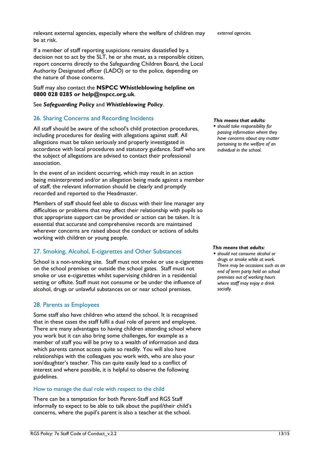relevant external agencies, especially where the welfare of children may be at risk.

If a member of staff reporting suspicions remains dissatisfied by a decision not to act by the SLT, he or she must, as a responsible citizen, report concerns directly to the Safeguarding Children Board, the Local Authority Designated officer (LADO) or to the police, depending on the nature of those concerns.

## Staff may also contact the **NSPCC Whistleblowing helpline on 0800 028 0285 or help@nspcc.org.uk**.

## See *Safeguarding Policy* and *Whistleblowing Policy*.

# 26. Sharing Concerns and Recording Incidents

All staff should be aware of the school's child protection procedures, including procedures for dealing with allegations against staff. All allegations must be taken seriously and properly investigated in accordance with local procedures and statutory guidance. Staff who are the subject of allegations are advised to contact their professional association.

In the event of an incident occurring, which may result in an action being misinterpreted and/or an allegation being made against a member of staff, the relevant information should be clearly and promptly recorded and reported to the Headmaster.

Members of staff should feel able to discuss with their line manager any difficulties or problems that may affect their relationship with pupils so that appropriate support can be provided or action can be taken. It is essential that accurate and comprehensive records are maintained wherever concerns are raised about the conduct or actions of adults working with children or young people.

# 27. Smoking, Alcohol, E-cigarettes and Other Substances

School is a non-smoking site. Staff must not smoke or use e-cigarettes on the school premises or outside the school gates. Staff must not smoke or use e-cigarettes whilst supervising children in a residential setting or offsite. Staff must not consume or be under the influence of alcohol, drugs or unlawful substances on or near school premises.

# 28. Parents as Employees

Some staff also have children who attend the school. It is recognised that in these cases the staff fulfil a dual role of parent and employee. There are many advantages to having children attending school where you work but it can also bring some challenges, for example as a member of staff you will be privy to a wealth of information and data which parents cannot access quite so readily. You will also have relationships with the colleagues you work with, who are also your son/daughter's teacher. This can quite easily lead to a conflict of interest and where possible, it is helpful to observe the following guidelines.

## How to manage the dual role with respect to the child

There can be a temptation for both Parent-Staff and RGS Staff informally to expect to be able to talk about the pupil/their child's concerns, where the pupil's parent is also a teacher at the school.

*external agencies.*

## *This means that adults:*

 *should take responsibility for passing information where they have concerns about any matter pertaining to the welfare of an individual in the school.*

#### *This means that adults:*

 *should not consume alcohol or drugs or smoke while at work. There may be occasions such as an end of term party held on school premises out of working hours where staff may enjoy a drink socially.*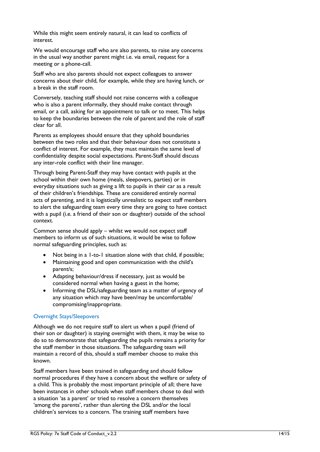While this might seem entirely natural, it can lead to conflicts of interest.

We would encourage staff who are also parents, to raise any concerns in the usual way another parent might i.e. via email, request for a meeting or a phone-call.

Staff who are also parents should not expect colleagues to answer concerns about their child, for example, while they are having lunch, or a break in the staff room.

Conversely, teaching staff should not raise concerns with a colleague who is also a parent informally, they should make contact through email, or a call, asking for an appointment to talk or to meet. This helps to keep the boundaries between the role of parent and the role of staff clear for all.

Parents as employees should ensure that they uphold boundaries between the two roles and that their behaviour does not constitute a conflict of interest. For example, they must maintain the same level of confidentiality despite social expectations. Parent-Staff should discuss any inter-role conflict with their line manager.

Through being Parent-Staff they may have contact with pupils at the school within their own home (meals, sleepovers, parties) or in everyday situations such as giving a lift to pupils in their car as a result of their children's friendships. These are considered entirely normal acts of parenting, and it is logistically unrealistic to expect staff members to alert the safeguarding team every time they are going to have contact with a pupil (i.e. a friend of their son or daughter) outside of the school context.

Common sense should apply – whilst we would not expect staff members to inform us of such situations, it would be wise to follow normal safeguarding principles, such as:

- Not being in a 1-to-1 situation alone with that child, if possible;
- Maintaining good and open communication with the child's parent/s;
- Adapting behaviour/dress if necessary, just as would be considered normal when having a guest in the home;
- Informing the DSL/safeguarding team as a matter of urgency of any situation which may have been/may be uncomfortable/ compromising/inappropriate.

## Overnight Stays/Sleepovers

Although we do not require staff to alert us when a pupil (friend of their son or daughter) is staying overnight with them, it may be wise to do so to demonstrate that safeguarding the pupils remains a priority for the staff member in those situations. The safeguarding team will maintain a record of this, should a staff member choose to make this known.

Staff members have been trained in safeguarding and should follow normal procedures if they have a concern about the welfare or safety of a child. This is probably the most important principle of all; there have been instances in other schools when staff members chose to deal with a situation 'as a parent' or tried to resolve a concern themselves 'among the parents', rather than alerting the DSL and/or the local children's services to a concern. The training staff members have